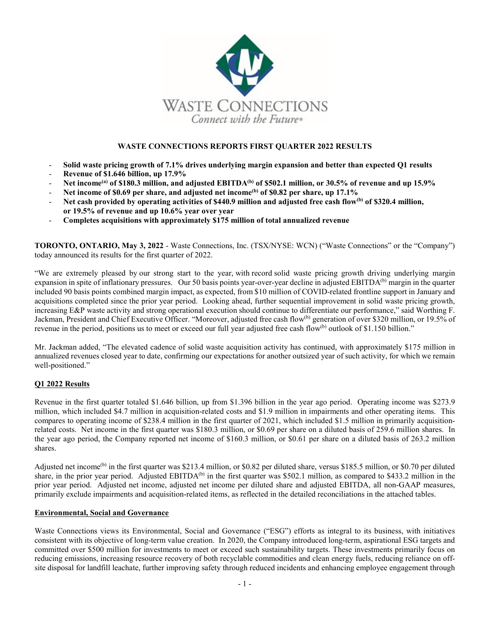

# **WASTE CONNECTIONS REPORTS FIRST QUARTER 2022 RESULTS**

- **Solid waste pricing growth of 7.1% drives underlying margin expansion and better than expected Q1 results**
- **Revenue of \$1.646 billion, up 17.9%**
- **Net income(a) of \$180.3 million, and adjusted EBITDA(b) of \$502.1 million, or 30.5% of revenue and up 15.9%**
- **Net income of \$0.69 per share, and adjusted net income(b) of \$0.82 per share, up 17.1%**
- **Net cash provided by operating activities of \$440.9 million and adjusted free cash flow(b) of \$320.4 million, or 19.5% of revenue and up 10.6% year over year**
- **Completes acquisitions with approximately \$175 million of total annualized revenue**

**TORONTO, ONTARIO, May 3, 2022** - Waste Connections, Inc. (TSX/NYSE: WCN) ("Waste Connections" or the "Company") today announced its results for the first quarter of 2022.

"We are extremely pleased by our strong start to the year, with record solid waste pricing growth driving underlying margin expansion in spite of inflationary pressures. Our 50 basis points year-over-year decline in adjusted EBITDA<sup>(b)</sup> margin in the quarter included 90 basis points combined margin impact, as expected, from \$10 million of COVID-related frontline support in January and acquisitions completed since the prior year period. Looking ahead, further sequential improvement in solid waste pricing growth, increasing E&P waste activity and strong operational execution should continue to differentiate our performance," said Worthing F. Jackman, President and Chief Executive Officer. "Moreover, adjusted free cash flow<sup>(b)</sup> generation of over \$320 million, or 19.5% of revenue in the period, positions us to meet or exceed our full year adjusted free cash flow<sup>(b)</sup> outlook of \$1.150 billion."

Mr. Jackman added, "The elevated cadence of solid waste acquisition activity has continued, with approximately \$175 million in annualized revenues closed year to date, confirming our expectations for another outsized year of such activity, for which we remain well-positioned."

# **Q1 2022 Results**

Revenue in the first quarter totaled \$1.646 billion, up from \$1.396 billion in the year ago period. Operating income was \$273.9 million, which included \$4.7 million in acquisition-related costs and \$1.9 million in impairments and other operating items. This compares to operating income of \$238.4 million in the first quarter of 2021, which included \$1.5 million in primarily acquisitionrelated costs. Net income in the first quarter was \$180.3 million, or \$0.69 per share on a diluted basis of 259.6 million shares. In the year ago period, the Company reported net income of \$160.3 million, or \$0.61 per share on a diluted basis of 263.2 million shares.

Adjusted net income<sup>(b)</sup> in the first quarter was \$213.4 million, or \$0.82 per diluted share, versus \$185.5 million, or \$0.70 per diluted share, in the prior year period. Adjusted EBITDA<sup>(b)</sup> in the first quarter was \$502.1 million, as compared to \$433.2 million in the prior year period. Adjusted net income, adjusted net income per diluted share and adjusted EBITDA, all non-GAAP measures, primarily exclude impairments and acquisition-related items, as reflected in the detailed reconciliations in the attached tables.

# **Environmental, Social and Governance**

Waste Connections views its Environmental, Social and Governance ("ESG") efforts as integral to its business, with initiatives consistent with its objective of long-term value creation. In 2020, the Company introduced long-term, aspirational ESG targets and committed over \$500 million for investments to meet or exceed such sustainability targets. These investments primarily focus on reducing emissions, increasing resource recovery of both recyclable commodities and clean energy fuels, reducing reliance on offsite disposal for landfill leachate, further improving safety through reduced incidents and enhancing employee engagement through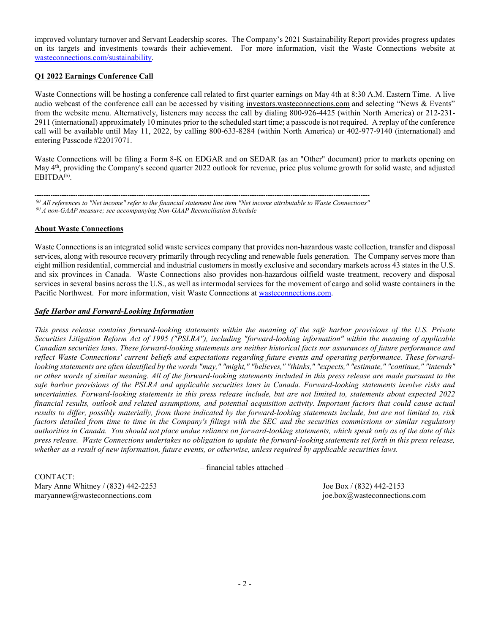improved voluntary turnover and Servant Leadership scores. The Company's 2021 Sustainability Report provides progress updates on its targets and investments towards their achievement. For more information, visit the Waste Connections website at [wasteconnections.com/sustainability.](https://www.wasteconnections.com/sustainability)

# **Q1 2022 Earnings Conference Call**

Waste Connections will be hosting a conference call related to first quarter earnings on May 4th at 8:30 A.M. Eastern Time. A live audio webcast of the conference call can be accessed by visiting [investors.wasteconnections.com](http://investors.wasteconnections.com/) and selecting "News & Events" from the website menu. Alternatively, listeners may access the call by dialing 800-926-4425 (within North America) or 212-231- 2911 (international) approximately 10 minutes prior to the scheduled start time; a passcode is not required. A replay of the conference call will be available until May 11, 2022, by calling 800-633-8284 (within North America) or 402-977-9140 (international) and entering Passcode #22017071.

Waste Connections will be filing a Form 8-K on EDGAR and on SEDAR (as an "Other" document) prior to markets opening on May 4<sup>th</sup>, providing the Company's second quarter 2022 outlook for revenue, price plus volume growth for solid waste, and adjusted EBITDA<sup>(b)</sup>.

*---------------------------------------------------------------------------------------------------------------------------------------------------- (a) All references to "Net income" refer to the financial statement line item "Net income attributable to Waste Connections" (b) A non-GAAP measure; see accompanying Non-GAAP Reconciliation Schedule*

# **About Waste Connections**

Waste Connections is an integrated solid waste services company that provides non-hazardous waste collection, transfer and disposal services, along with resource recovery primarily through recycling and renewable fuels generation. The Company serves more than eight million residential, commercial and industrial customers in mostly exclusive and secondary markets across 43 states in the U.S. and six provinces in Canada. Waste Connections also provides non-hazardous oilfield waste treatment, recovery and disposal services in several basins across the U.S., as well as intermodal services for the movement of cargo and solid waste containers in the Pacific Northwest. For more information, visit Waste Connections a[t wasteconnections.com.](http://www.wasteconnections.com/)

## *Safe Harbor and Forward-Looking Information*

*This press release contains forward-looking statements within the meaning of the safe harbor provisions of the U.S. Private Securities Litigation Reform Act of 1995 ("PSLRA"), including "forward-looking information" within the meaning of applicable Canadian securities laws. These forward-looking statements are neither historical facts nor assurances of future performance and reflect Waste Connections' current beliefs and expectations regarding future events and operating performance. These forwardlooking statements are often identified by the words "may," "might," "believes," "thinks," "expects," "estimate," "continue," "intends" or other words of similar meaning. All of the forward-looking statements included in this press release are made pursuant to the safe harbor provisions of the PSLRA and applicable securities laws in Canada. Forward-looking statements involve risks and uncertainties. Forward-looking statements in this press release include, but are not limited to, statements about expected 2022 financial results, outlook and related assumptions, and potential acquisition activity. Important factors that could cause actual results to differ, possibly materially, from those indicated by the forward-looking statements include, but are not limited to, risk factors detailed from time to time in the Company's filings with the SEC and the securities commissions or similar regulatory authorities in Canada. You should not place undue reliance on forward-looking statements, which speak only as of the date of this press release. Waste Connections undertakes no obligation to update the forward-looking statements set forth in this press release, whether as a result of new information, future events, or otherwise, unless required by applicable securities laws.*

– financial tables attached –

CONTACT: Mary Anne Whitney / (832) 442-2253 Joe Box / (832) 442-2153 [maryannew@wasteconnections.com](mailto:maryannew@wasteconnections.com) [joe.box@wasteconnections.com](mailto:joe.box@wasteconnections.com)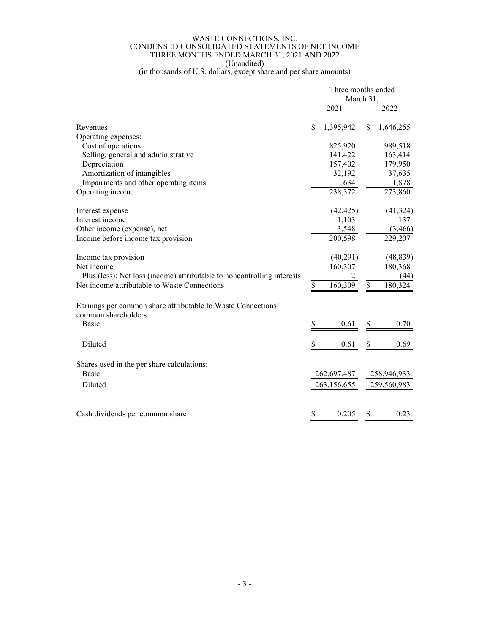### WASTE CONNECTIONS, INC. CONDENSED CONSOLIDATED STATEMENTS OF NET INCOME THREE MONTHS ENDED MARCH 31, 2021 AND 2022 (Unaudited)

(in thousands of U.S. dollars, except share and per share amounts)

|                                                                                               | Three months ended<br>March 31, |             |    |             |
|-----------------------------------------------------------------------------------------------|---------------------------------|-------------|----|-------------|
|                                                                                               |                                 | 2021        |    | 2022        |
| Revenues                                                                                      | \$                              | 1,395,942   | \$ | 1,646,255   |
| Operating expenses:                                                                           |                                 |             |    |             |
| Cost of operations                                                                            |                                 | 825,920     |    | 989,518     |
| Selling, general and administrative                                                           |                                 | 141,422     |    | 163,414     |
| Depreciation                                                                                  |                                 | 157,402     |    | 179,950     |
| Amortization of intangibles                                                                   |                                 | 32,192      |    | 37,635      |
| Impairments and other operating items                                                         |                                 | 634         |    | 1,878       |
| Operating income                                                                              |                                 | 238,372     |    | 273,860     |
| Interest expense                                                                              |                                 | (42, 425)   |    | (41, 324)   |
| Interest income                                                                               |                                 | 1,103       |    | 137         |
| Other income (expense), net                                                                   |                                 | 3,548       |    | (3, 466)    |
| Income before income tax provision                                                            |                                 | 200,598     |    | 229,207     |
| Income tax provision                                                                          |                                 | (40,291)    |    | (48, 839)   |
| Net income                                                                                    |                                 | 160,307     |    | 180,368     |
| Plus (less): Net loss (income) attributable to noncontrolling interests                       |                                 |             |    | (44)        |
| Net income attributable to Waste Connections                                                  | \$                              | 160,309     | \$ | 180,324     |
| Earnings per common share attributable to Waste Connections'<br>common shareholders:<br>Basic | \$                              | 0.61        |    | 0.70        |
|                                                                                               |                                 |             | \$ |             |
| Diluted                                                                                       | \$                              | 0.61        | \$ | 0.69        |
| Shares used in the per share calculations:<br><b>Basic</b>                                    |                                 | 262,697,487 |    | 258,946,933 |
| Diluted                                                                                       |                                 | 263,156,655 |    | 259,560,983 |
| Cash dividends per common share                                                               | \$                              | 0.205       | \$ | 0.23        |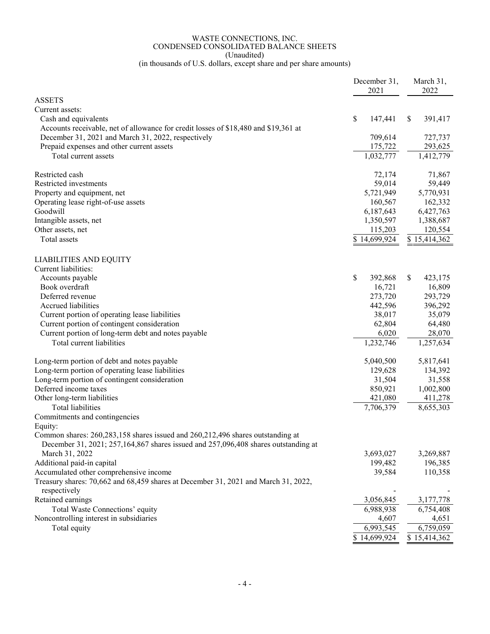### WASTE CONNECTIONS, INC. CONDENSED CONSOLIDATED BALANCE SHEETS (Unaudited)

(in thousands of U.S. dollars, except share and per share amounts)

|                                                                                     | December 31,  | March 31,              |
|-------------------------------------------------------------------------------------|---------------|------------------------|
|                                                                                     | 2021          | 2022                   |
| <b>ASSETS</b>                                                                       |               |                        |
| Current assets:                                                                     |               |                        |
| Cash and equivalents                                                                | \$<br>147,441 | 391,417<br>\$          |
| Accounts receivable, net of allowance for credit losses of \$18,480 and \$19,361 at |               |                        |
| December 31, 2021 and March 31, 2022, respectively                                  | 709,614       | 727,737                |
| Prepaid expenses and other current assets                                           | 175,722       | 293,625                |
| Total current assets                                                                | 1,032,777     | 1,412,779              |
| Restricted cash                                                                     | 72,174        | 71,867                 |
| Restricted investments                                                              | 59,014        | 59,449                 |
| Property and equipment, net                                                         | 5,721,949     | 5,770,931              |
| Operating lease right-of-use assets                                                 | 160,567       | 162,332                |
| Goodwill                                                                            | 6,187,643     | 6,427,763              |
| Intangible assets, net                                                              | 1,350,597     | 1,388,687              |
| Other assets, net                                                                   | 115,203       | 120,554                |
| <b>Total</b> assets                                                                 | \$14,699,924  | \$15,414,362           |
|                                                                                     |               |                        |
| <b>LIABILITIES AND EQUITY</b>                                                       |               |                        |
| Current liabilities:                                                                |               |                        |
| Accounts payable                                                                    | \$<br>392,868 | \$<br>423,175          |
| Book overdraft                                                                      | 16,721        | 16,809                 |
| Deferred revenue                                                                    | 273,720       | 293,729                |
| Accrued liabilities                                                                 | 442,596       | 396,292                |
| Current portion of operating lease liabilities                                      | 38,017        | 35,079                 |
| Current portion of contingent consideration                                         | 62,804        | 64,480                 |
| Current portion of long-term debt and notes payable                                 | 6,020         | 28,070                 |
| Total current liabilities                                                           | 1,232,746     | $\overline{1,}257,634$ |
| Long-term portion of debt and notes payable                                         | 5,040,500     | 5,817,641              |
| Long-term portion of operating lease liabilities                                    | 129,628       | 134,392                |
| Long-term portion of contingent consideration                                       | 31,504        | 31,558                 |
| Deferred income taxes                                                               | 850,921       | 1,002,800              |
| Other long-term liabilities                                                         | 421,080       | 411,278                |
| <b>Total liabilities</b>                                                            | 7,706,379     | 8,655,303              |
| Commitments and contingencies                                                       |               |                        |
| Equity:                                                                             |               |                        |
| Common shares: $260,283,158$ shares issued and $260,212,496$ shares outstanding at  |               |                        |
| December 31, 2021; 257,164,867 shares issued and 257,096,408 shares outstanding at  |               |                        |
| March 31, 2022                                                                      | 3,693,027     | 3,269,887              |
| Additional paid-in capital                                                          | 199,482       | 196,385                |
| Accumulated other comprehensive income                                              | 39,584        | 110,358                |
| Treasury shares: 70,662 and 68,459 shares at December 31, 2021 and March 31, 2022,  |               |                        |
| respectively                                                                        |               |                        |
| Retained earnings                                                                   | 3,056,845     | 3,177,778              |
| Total Waste Connections' equity                                                     | 6,988,938     | 6,754,408              |
| Noncontrolling interest in subsidiaries                                             | 4,607         | 4,651                  |
| Total equity                                                                        | 6,993,545     | 6,759,059              |
|                                                                                     | \$14,699,924  | \$15,414,362           |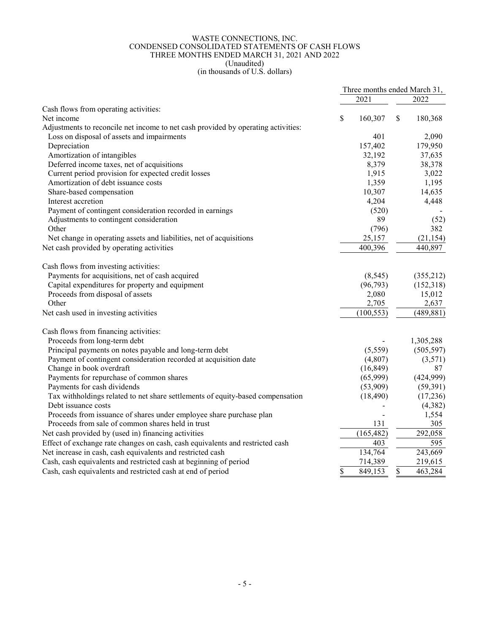## WASTE CONNECTIONS, INC. CONDENSED CONSOLIDATED STATEMENTS OF CASH FLOWS THREE MONTHS ENDED MARCH 31, 2021 AND 2022 (Unaudited)

### (in thousands of U.S. dollars)

|                                                                                   | Three months ended March 31, |            |    |            |
|-----------------------------------------------------------------------------------|------------------------------|------------|----|------------|
|                                                                                   |                              | 2021       |    | 2022       |
| Cash flows from operating activities:                                             |                              |            |    |            |
| Net income                                                                        | \$                           | 160,307    | \$ | 180,368    |
| Adjustments to reconcile net income to net cash provided by operating activities: |                              |            |    |            |
| Loss on disposal of assets and impairments                                        |                              | 401        |    | 2,090      |
| Depreciation                                                                      |                              | 157,402    |    | 179,950    |
| Amortization of intangibles                                                       |                              | 32,192     |    | 37,635     |
| Deferred income taxes, net of acquisitions                                        |                              | 8,379      |    | 38,378     |
| Current period provision for expected credit losses                               |                              | 1,915      |    | 3,022      |
| Amortization of debt issuance costs                                               |                              | 1,359      |    | 1,195      |
| Share-based compensation                                                          |                              | 10,307     |    | 14,635     |
| Interest accretion                                                                |                              | 4,204      |    | 4,448      |
| Payment of contingent consideration recorded in earnings                          |                              | (520)      |    |            |
| Adjustments to contingent consideration                                           |                              | 89         |    | (52)       |
| Other                                                                             |                              | (796)      |    | 382        |
| Net change in operating assets and liabilities, net of acquisitions               |                              | 25,157     |    | (21, 154)  |
| Net cash provided by operating activities                                         |                              | 400,396    |    | 440,897    |
| Cash flows from investing activities:                                             |                              |            |    |            |
| Payments for acquisitions, net of cash acquired                                   |                              | (8, 545)   |    | (355,212)  |
| Capital expenditures for property and equipment                                   |                              | (96, 793)  |    | (152,318)  |
| Proceeds from disposal of assets                                                  |                              | 2,080      |    | 15,012     |
| Other                                                                             |                              | 2,705      |    | 2,637      |
| Net cash used in investing activities                                             |                              | (100, 553) |    | (489, 881) |
| Cash flows from financing activities:                                             |                              |            |    |            |
| Proceeds from long-term debt                                                      |                              |            |    | 1,305,288  |
| Principal payments on notes payable and long-term debt                            |                              | (5,559)    |    | (505, 597) |
| Payment of contingent consideration recorded at acquisition date                  |                              | (4,807)    |    | (3,571)    |
| Change in book overdraft                                                          |                              | (16, 849)  |    | 87         |
| Payments for repurchase of common shares                                          |                              | (65,999)   |    | (424,999)  |
| Payments for cash dividends                                                       |                              | (53,909)   |    | (59,391)   |
| Tax withholdings related to net share settlements of equity-based compensation    |                              | (18, 490)  |    | (17,236)   |
| Debt issuance costs                                                               |                              |            |    | (4,382)    |
| Proceeds from issuance of shares under employee share purchase plan               |                              |            |    | 1,554      |
| Proceeds from sale of common shares held in trust                                 |                              | 131        |    | 305        |
| Net cash provided by (used in) financing activities                               |                              | (165, 482) |    | 292,058    |
| Effect of exchange rate changes on cash, cash equivalents and restricted cash     |                              | 403        |    | 595        |
| Net increase in cash, cash equivalents and restricted cash                        |                              | 134,764    |    | 243,669    |
| Cash, cash equivalents and restricted cash at beginning of period                 |                              | 714,389    |    | 219,615    |
| Cash, cash equivalents and restricted cash at end of period                       | \$                           | 849,153    | \$ | 463,284    |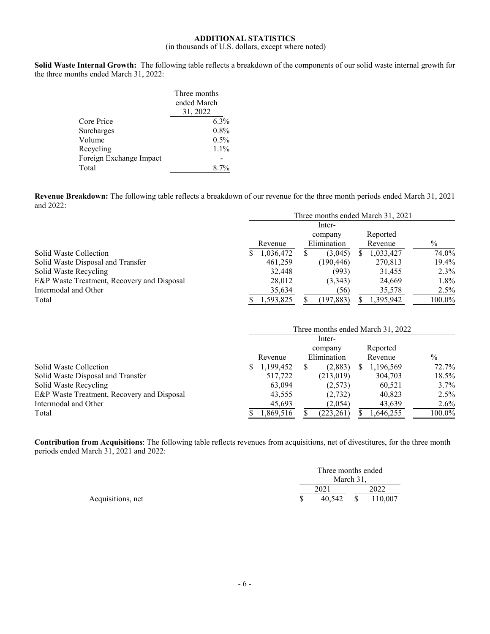## **ADDITIONAL STATISTICS**

# (in thousands of U.S. dollars, except where noted)

**Solid Waste Internal Growth:** The following table reflects a breakdown of the components of our solid waste internal growth for the three months ended March 31, 2022:

|                         | Three months<br>ended March |
|-------------------------|-----------------------------|
|                         | 31, 2022                    |
| Core Price              | 6.3%                        |
| Surcharges              | 0.8%                        |
| Volume                  | $0.5\%$                     |
| Recycling               | $1.1\%$                     |
| Foreign Exchange Impact |                             |
| Total                   |                             |

**Revenue Breakdown:** The following table reflects a breakdown of our revenue for the three month periods ended March 31, 2021 and 2022:

|                                            | Three months ended March 31, 2021 |           |     |             |    |                                   |               |  |
|--------------------------------------------|-----------------------------------|-----------|-----|-------------|----|-----------------------------------|---------------|--|
|                                            |                                   | Inter-    |     |             |    |                                   |               |  |
|                                            |                                   |           |     | company     |    | Reported                          |               |  |
|                                            |                                   | Revenue   |     | Elimination |    | Revenue                           | $\%$          |  |
| Solid Waste Collection                     | \$                                | 1,036,472 | \$  | (3,045)     | \$ | 1,033,427                         | 74.0%         |  |
| Solid Waste Disposal and Transfer          |                                   | 461,259   |     | (190, 446)  |    | 270,813                           | 19.4%         |  |
| Solid Waste Recycling                      |                                   | 32,448    |     | (993)       |    | 31,455                            | 2.3%          |  |
| E&P Waste Treatment, Recovery and Disposal |                                   | 28,012    |     | (3,343)     |    | 24,669                            | $1.8\%$       |  |
| Intermodal and Other                       |                                   | 35,634    |     | (56)        |    | 35,578                            | $2.5\%$       |  |
| Total                                      | S                                 | 1,593,825 | \$  | (197, 883)  | S. | 1,395,942                         | 100.0%        |  |
|                                            |                                   |           |     |             |    | Three months ended March 31, 2022 |               |  |
|                                            |                                   |           |     | Inter-      |    |                                   |               |  |
|                                            |                                   |           |     | company     |    | Reported                          |               |  |
|                                            |                                   | Revenue   |     | Elimination |    | Revenue                           | $\frac{0}{0}$ |  |
| Solid Waste Collection                     | S                                 | 1,199,452 | \$. | (2,883)     | S  | 1,196,569                         | 72.7%         |  |
| Solid Waste Disposal and Transfer          |                                   | 517,722   |     | (213,019)   |    | 304,703                           | 18.5%         |  |
| Solid Waste Recycling                      |                                   | 63,094    |     | (2,573)     |    | 60,521                            | $3.7\%$       |  |
| E&P Waste Treatment, Recovery and Disposal |                                   | 43,555    |     | (2,732)     |    | 40,823                            | $2.5\%$       |  |
| Intermodal and Other                       |                                   | 45,693    |     | (2,054)     |    | 43,639                            | $2.6\%$       |  |
| Total                                      | \$                                | 1,869,516 | \$  | (223, 261)  |    | 1,646,255                         | 100.0%        |  |

**Contribution from Acquisitions**: The following table reflects revenues from acquisitions, net of divestitures, for the three month periods ended March 31, 2021 and 2022:

|                   | Three months ended<br>March 31. |              |         |  |
|-------------------|---------------------------------|--------------|---------|--|
|                   | 2021                            |              | 2022    |  |
| Acquisitions, net | 40.542                          | <sup>S</sup> | 110,007 |  |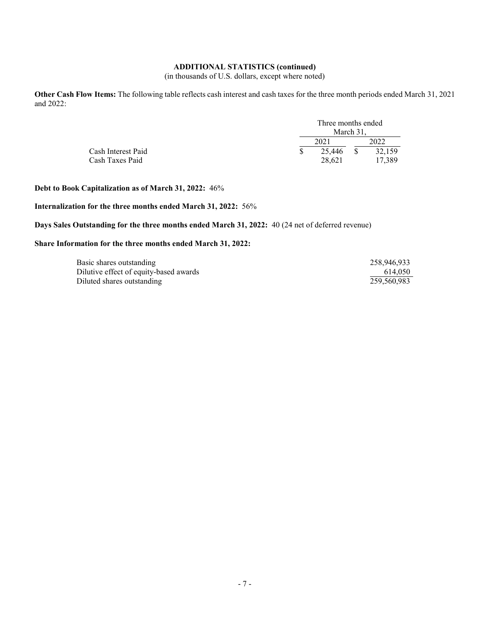## **ADDITIONAL STATISTICS (continued)**

(in thousands of U.S. dollars, except where noted)

**Other Cash Flow Items:** The following table reflects cash interest and cash taxes for the three month periods ended March 31, 2021 and 2022:

|                    | Three months ended<br>March 31. |  |        |  |  |
|--------------------|---------------------------------|--|--------|--|--|
|                    | 202 <sup>1</sup>                |  | 2022   |  |  |
| Cash Interest Paid | 25,446                          |  | 32,159 |  |  |
| Cash Taxes Paid    | 28.621                          |  | 17.389 |  |  |

**Debt to Book Capitalization as of March 31, 2022:** 46%

## **Internalization for the three months ended March 31, 2022:** 56%

**Days Sales Outstanding for the three months ended March 31, 2022:** 40 (24 net of deferred revenue)

### **Share Information for the three months ended March 31, 2022:**

| Basic shares outstanding               | 258,946,933 |
|----------------------------------------|-------------|
| Dilutive effect of equity-based awards | 614.050     |
| Diluted shares outstanding             | 259,560,983 |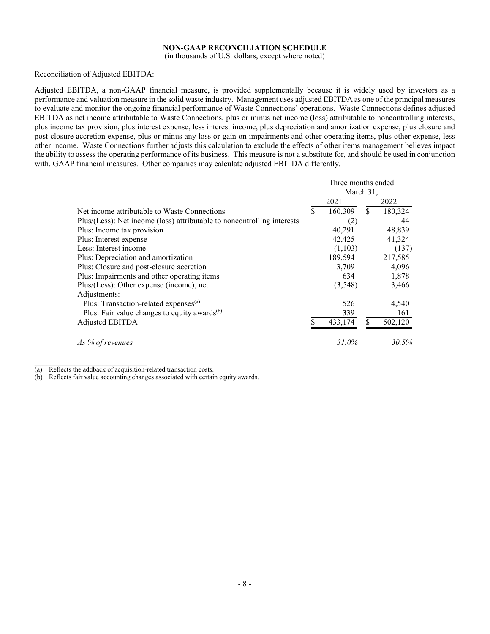## **NON-GAAP RECONCILIATION SCHEDULE**

(in thousands of U.S. dollars, except where noted)

### Reconciliation of Adjusted EBITDA:

Adjusted EBITDA, a non-GAAP financial measure, is provided supplementally because it is widely used by investors as a performance and valuation measure in the solid waste industry. Management uses adjusted EBITDA as one of the principal measures to evaluate and monitor the ongoing financial performance of Waste Connections' operations. Waste Connections defines adjusted EBITDA as net income attributable to Waste Connections, plus or minus net income (loss) attributable to noncontrolling interests, plus income tax provision, plus interest expense, less interest income, plus depreciation and amortization expense, plus closure and post-closure accretion expense, plus or minus any loss or gain on impairments and other operating items, plus other expense, less other income. Waste Connections further adjusts this calculation to exclude the effects of other items management believes impact the ability to assess the operating performance of its business. This measure is not a substitute for, and should be used in conjunction with, GAAP financial measures. Other companies may calculate adjusted EBITDA differently.

|                                                                         | Three months ended<br>March 31, |          |    |         |
|-------------------------------------------------------------------------|---------------------------------|----------|----|---------|
|                                                                         |                                 |          |    |         |
|                                                                         |                                 | 2021     |    | 2022    |
| Net income attributable to Waste Connections                            | S                               | 160,309  | \$ | 180,324 |
| Plus/(Less): Net income (loss) attributable to noncontrolling interests |                                 | (2)      |    | 44      |
| Plus: Income tax provision                                              |                                 | 40,291   |    | 48,839  |
| Plus: Interest expense                                                  |                                 | 42,425   |    | 41,324  |
| Less: Interest income                                                   |                                 | (1,103)  |    | (137)   |
| Plus: Depreciation and amortization                                     |                                 | 189,594  |    | 217,585 |
| Plus: Closure and post-closure accretion                                |                                 | 3,709    |    | 4,096   |
| Plus: Impairments and other operating items                             |                                 | 634      |    | 1,878   |
| Plus/(Less): Other expense (income), net                                |                                 | (3,548)  |    | 3,466   |
| Adjustments:                                                            |                                 |          |    |         |
| Plus: Transaction-related expenses <sup>(a)</sup>                       |                                 | 526      |    | 4,540   |
| Plus: Fair value changes to equity awards <sup>(b)</sup>                |                                 | 339      |    | 161     |
| Adjusted EBITDA                                                         |                                 | 433,174  |    | 502,120 |
| As % of revenues                                                        |                                 | $31.0\%$ |    | 30.5%   |

 $\overline{\phantom{a}}$  , and the set of the set of the set of the set of the set of the set of the set of the set of the set of the set of the set of the set of the set of the set of the set of the set of the set of the set of the s (a) Reflects the addback of acquisition-related transaction costs.

(b) Reflects fair value accounting changes associated with certain equity awards.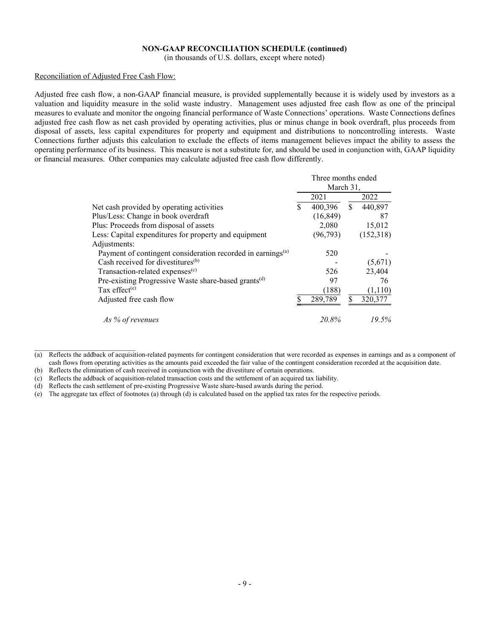## **NON-GAAP RECONCILIATION SCHEDULE (continued)**

(in thousands of U.S. dollars, except where noted)

### Reconciliation of Adjusted Free Cash Flow:

Adjusted free cash flow, a non-GAAP financial measure, is provided supplementally because it is widely used by investors as a valuation and liquidity measure in the solid waste industry. Management uses adjusted free cash flow as one of the principal measures to evaluate and monitor the ongoing financial performance of Waste Connections' operations. Waste Connections defines adjusted free cash flow as net cash provided by operating activities, plus or minus change in book overdraft, plus proceeds from disposal of assets, less capital expenditures for property and equipment and distributions to noncontrolling interests. Waste Connections further adjusts this calculation to exclude the effects of items management believes impact the ability to assess the operating performance of its business. This measure is not a substitute for, and should be used in conjunction with, GAAP liquidity or financial measures. Other companies may calculate adjusted free cash flow differently.

|                                                                         | Three months ended<br>March 31, |           |    |           |
|-------------------------------------------------------------------------|---------------------------------|-----------|----|-----------|
|                                                                         |                                 | 2021      |    | 2022      |
| Net cash provided by operating activities                               | \$                              | 400,396   | \$ | 440,897   |
| Plus/Less: Change in book overdraft                                     |                                 | (16, 849) |    | 87        |
| Plus: Proceeds from disposal of assets                                  |                                 | 2,080     |    | 15,012    |
| Less: Capital expenditures for property and equipment                   |                                 | (96, 793) |    | (152,318) |
| Adjustments:                                                            |                                 |           |    |           |
| Payment of contingent consideration recorded in earnings <sup>(a)</sup> |                                 | 520       |    |           |
| Cash received for divestitures <sup>(b)</sup>                           |                                 |           |    | (5,671)   |
| Transaction-related expenses <sup>(c)</sup>                             |                                 | 526       |    | 23,404    |
| Pre-existing Progressive Waste share-based grants <sup>(d)</sup>        |                                 | 97        |    | 76        |
| Tax effect <sup>(e)</sup>                                               |                                 | (188)     |    | (1,110)   |
| Adjusted free cash flow                                                 |                                 | 289,789   | \$ | 320,377   |
| As % of revenues                                                        |                                 | 20.8%     |    | 19.5%     |

<sup>(</sup>a) Reflects the addback of acquisition-related payments for contingent consideration that were recorded as expenses in earnings and as a component of cash flows from operating activities as the amounts paid exceeded the fair value of the contingent consideration recorded at the acquisition date.

(e) The aggregate tax effect of footnotes (a) through (d) is calculated based on the applied tax rates for the respective periods.

<sup>(</sup>b) Reflects the elimination of cash received in conjunction with the divestiture of certain operations.

<sup>(</sup>c) Reflects the addback of acquisition-related transaction costs and the settlement of an acquired tax liability.

<sup>(</sup>d) Reflects the cash settlement of pre-existing Progressive Waste share-based awards during the period.